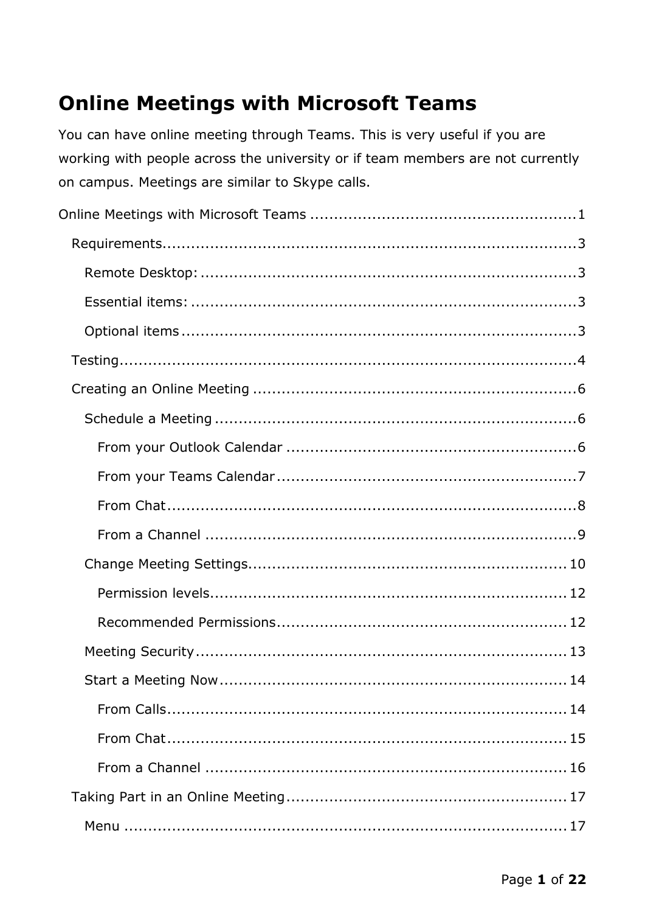# <span id="page-0-0"></span>**Online Meetings with Microsoft Teams**

You can have online meeting through Teams. This is very useful if you are working with people across the university or if team members are not currently on campus. Meetings are similar to Skype calls.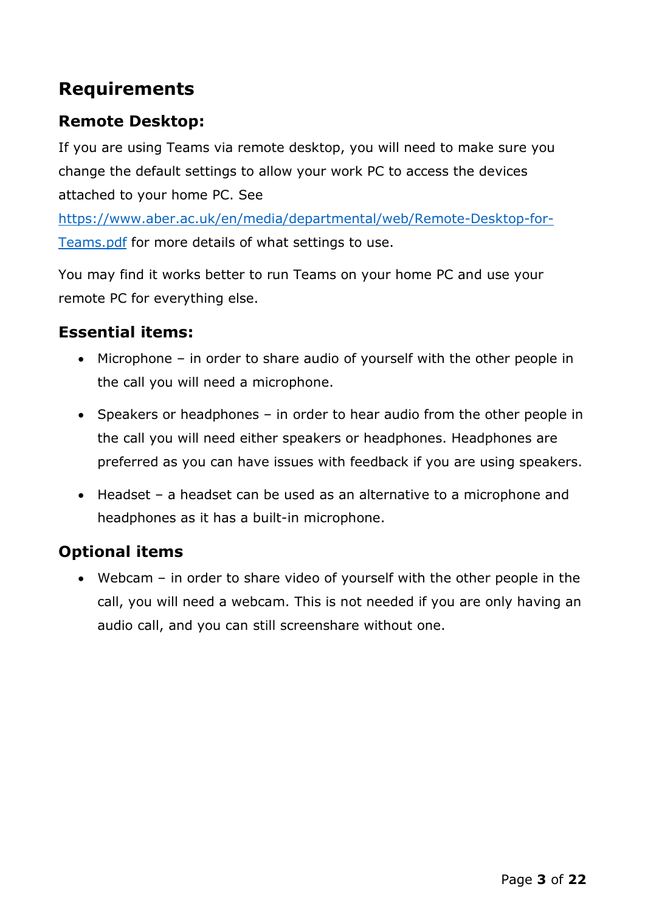## <span id="page-2-0"></span>**Requirements**

## <span id="page-2-1"></span>**Remote Desktop:**

If you are using Teams via remote desktop, you will need to make sure you change the default settings to allow your work PC to access the devices attached to your home PC. See

[https://www.aber.ac.uk/en/media/departmental/web/Remote-Desktop-for-](https://www.aber.ac.uk/en/media/departmental/web/Remote-Desktop-for-Teams.pdf)[Teams.pdf](https://www.aber.ac.uk/en/media/departmental/web/Remote-Desktop-for-Teams.pdf) for more details of what settings to use.

You may find it works better to run Teams on your home PC and use your remote PC for everything else.

#### <span id="page-2-2"></span>**Essential items:**

- Microphone in order to share audio of yourself with the other people in the call you will need a microphone.
- Speakers or headphones in order to hear audio from the other people in the call you will need either speakers or headphones. Headphones are preferred as you can have issues with feedback if you are using speakers.
- Headset a headset can be used as an alternative to a microphone and headphones as it has a built-in microphone.

### <span id="page-2-3"></span>**Optional items**

• Webcam – in order to share video of yourself with the other people in the call, you will need a webcam. This is not needed if you are only having an audio call, and you can still screenshare without one.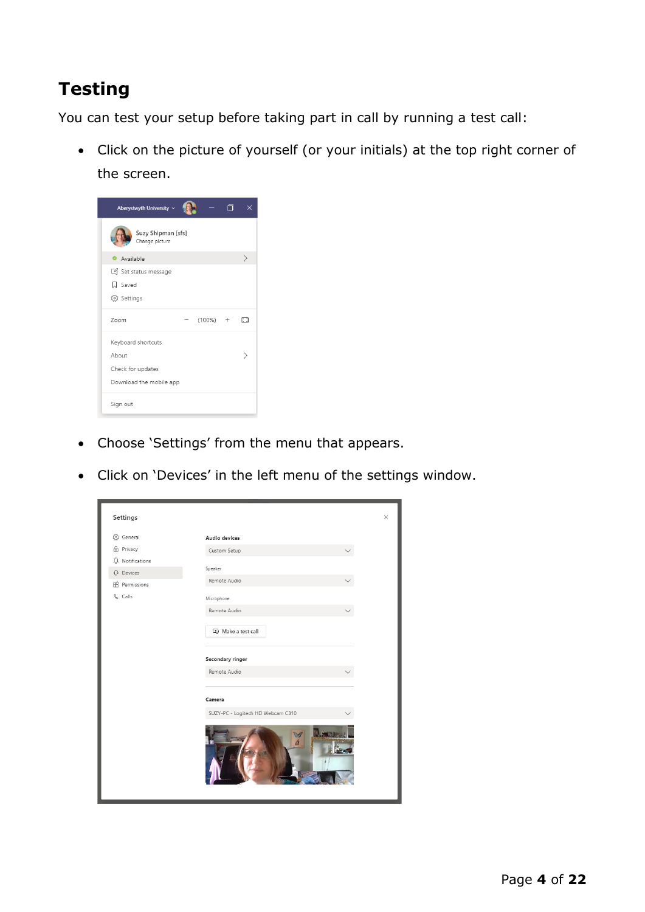# <span id="page-3-0"></span>**Testing**

You can test your setup before taking part in call by running a test call:

• Click on the picture of yourself (or your initials) at the top right corner of the screen.

| Aberystwyth University v<br>⊓        | ×             |
|--------------------------------------|---------------|
| Suzy Shipman [sfs]<br>Change picture |               |
| Available                            | $\rightarrow$ |
| Set status message                   |               |
| <b>Q</b> Saved                       |               |
| ξος Settings                         |               |
| $(100\%)$<br>Zoom<br>$+$             | C3            |
| Keyboard shortcuts                   |               |
| About                                |               |
| Check for updates                    |               |
| Download the mobile app              |               |
| Sign out                             |               |

- Choose 'Settings' from the menu that appears.
- Click on 'Devices' in the left menu of the settings window.

| Settings                |                                   | $\times$ |
|-------------------------|-----------------------------------|----------|
| ₹⊙3 General             | Audio devices                     |          |
| Privacy                 | Custom Setup                      |          |
| Q Notifications         | Speaker                           |          |
| <b><i>Q</i></b> Devices | Remote Audio                      |          |
| <b>B</b> Permissions    |                                   |          |
| & Calls                 | Microphone                        |          |
|                         | Remote Audio                      |          |
|                         | Make a test call                  |          |
|                         | <b>Secondary ringer</b>           |          |
|                         | Remote Audio                      |          |
|                         | Camera                            |          |
|                         | SUZY-PC - Logitech HD Webcam C310 |          |
|                         | И                                 |          |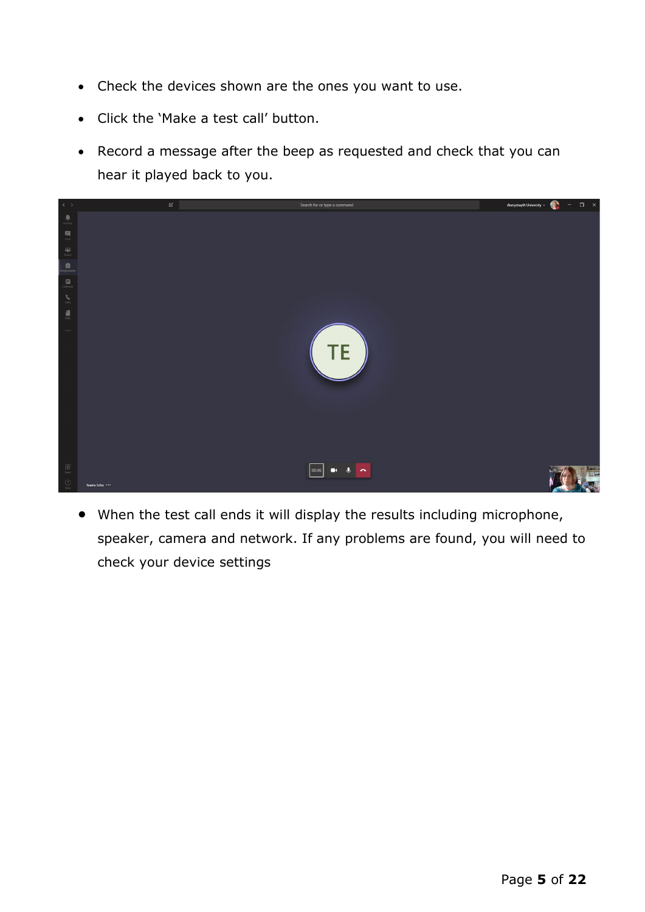- Check the devices shown are the ones you want to use.
- Click the 'Make a test call' button.
- Record a message after the beep as requested and check that you can hear it played back to you.



• When the test call ends it will display the results including microphone, speaker, camera and network. If any problems are found, you will need to check your device settings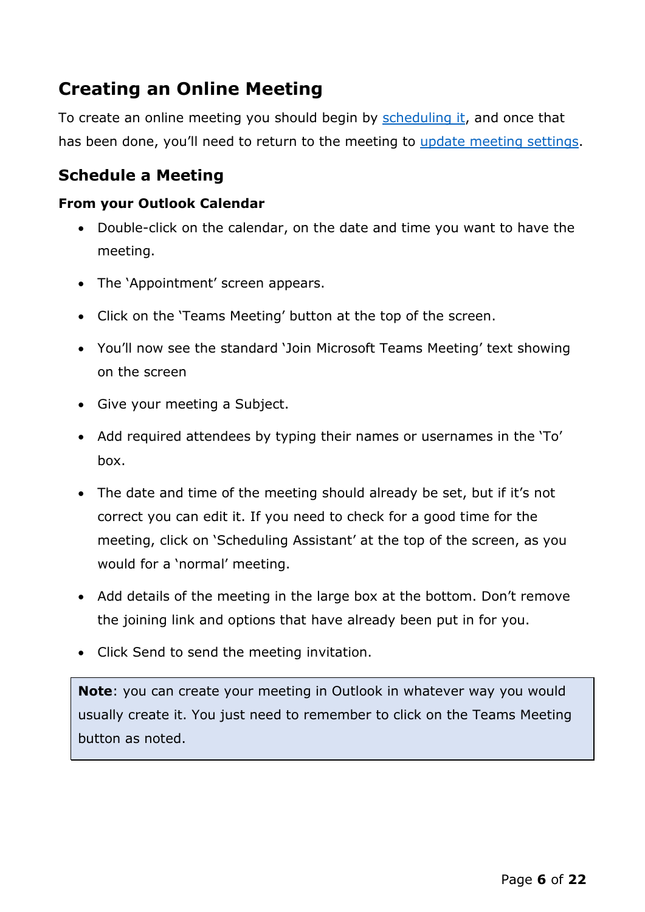# <span id="page-5-0"></span>**Creating an Online Meeting**

To create an online meeting you should begin by [scheduling it,](#page-5-1) and once that has been done, you'll need to return to the meeting to [update meeting settings.](#page-9-0)

### <span id="page-5-1"></span>**Schedule a Meeting**

#### <span id="page-5-2"></span>**From your Outlook Calendar**

- Double-click on the calendar, on the date and time you want to have the meeting.
- The 'Appointment' screen appears.
- Click on the 'Teams Meeting' button at the top of the screen.
- You'll now see the standard 'Join Microsoft Teams Meeting' text showing on the screen
- Give your meeting a Subject.
- Add required attendees by typing their names or usernames in the 'To' box.
- The date and time of the meeting should already be set, but if it's not correct you can edit it. If you need to check for a good time for the meeting, click on 'Scheduling Assistant' at the top of the screen, as you would for a 'normal' meeting.
- Add details of the meeting in the large box at the bottom. Don't remove the joining link and options that have already been put in for you.
- Click Send to send the meeting invitation.

**Note**: you can create your meeting in Outlook in whatever way you would usually create it. You just need to remember to click on the Teams Meeting button as noted.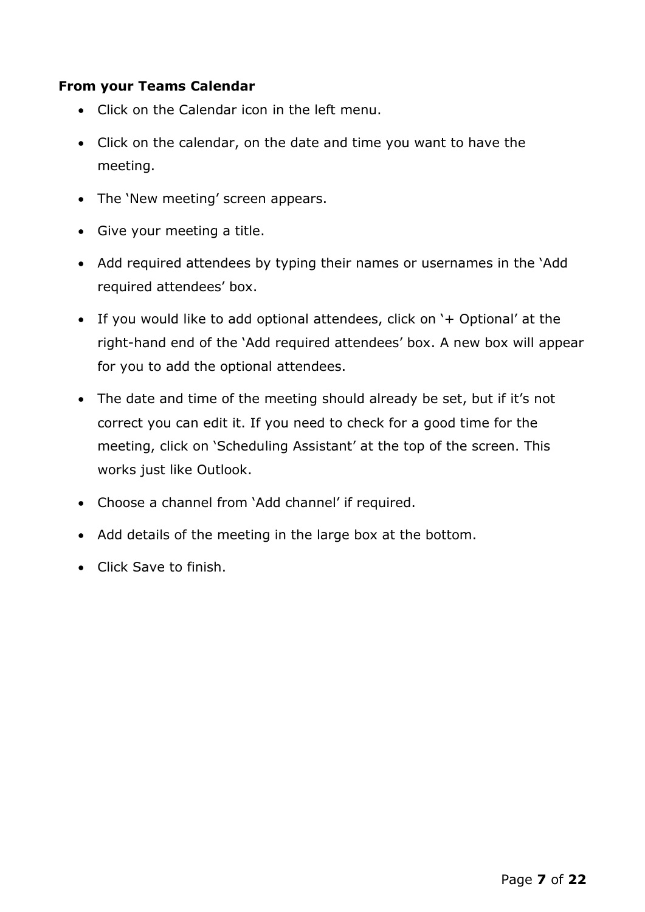#### <span id="page-6-0"></span>**From your Teams Calendar**

- Click on the Calendar icon in the left menu.
- Click on the calendar, on the date and time you want to have the meeting.
- The 'New meeting' screen appears.
- Give your meeting a title.
- Add required attendees by typing their names or usernames in the 'Add required attendees' box.
- If you would like to add optional attendees, click on '+ Optional' at the right-hand end of the 'Add required attendees' box. A new box will appear for you to add the optional attendees.
- The date and time of the meeting should already be set, but if it's not correct you can edit it. If you need to check for a good time for the meeting, click on 'Scheduling Assistant' at the top of the screen. This works just like Outlook.
- Choose a channel from 'Add channel' if required.
- Add details of the meeting in the large box at the bottom.
- Click Save to finish.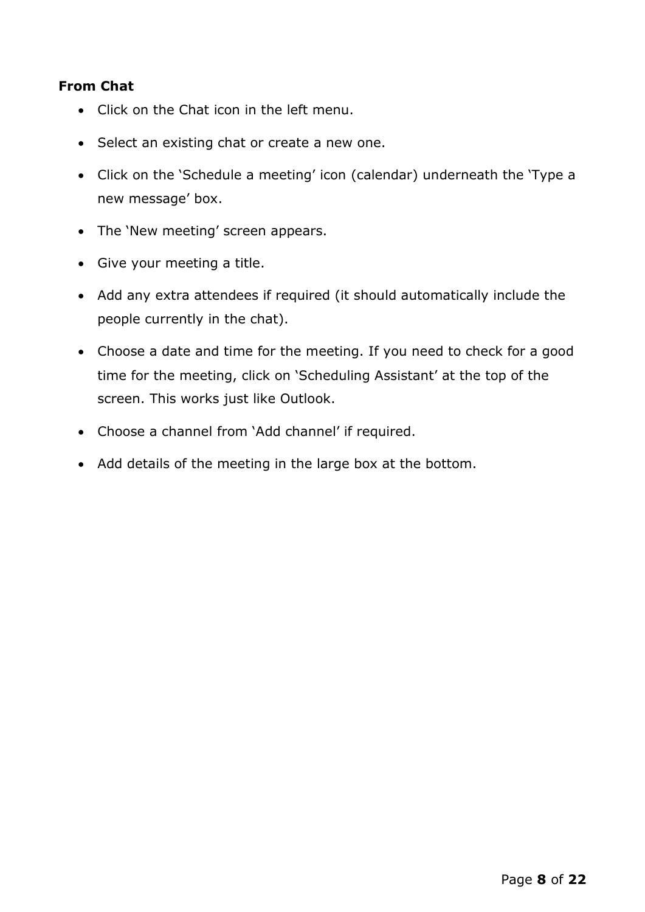#### <span id="page-7-0"></span>**From Chat**

- Click on the Chat icon in the left menu.
- Select an existing chat or create a new one.
- Click on the 'Schedule a meeting' icon (calendar) underneath the 'Type a new message' box.
- The 'New meeting' screen appears.
- Give your meeting a title.
- Add any extra attendees if required (it should automatically include the people currently in the chat).
- Choose a date and time for the meeting. If you need to check for a good time for the meeting, click on 'Scheduling Assistant' at the top of the screen. This works just like Outlook.
- Choose a channel from 'Add channel' if required.
- Add details of the meeting in the large box at the bottom.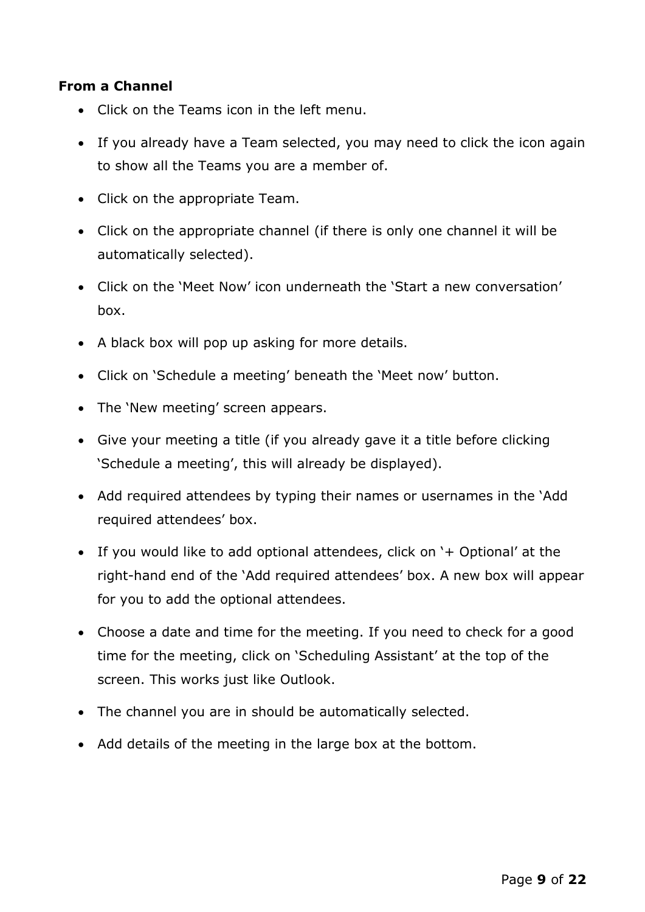#### <span id="page-8-0"></span>**From a Channel**

- Click on the Teams icon in the left menu.
- If you already have a Team selected, you may need to click the icon again to show all the Teams you are a member of.
- Click on the appropriate Team.
- Click on the appropriate channel (if there is only one channel it will be automatically selected).
- Click on the 'Meet Now' icon underneath the 'Start a new conversation' box.
- A black box will pop up asking for more details.
- Click on 'Schedule a meeting' beneath the 'Meet now' button.
- The 'New meeting' screen appears.
- Give your meeting a title (if you already gave it a title before clicking 'Schedule a meeting', this will already be displayed).
- Add required attendees by typing their names or usernames in the 'Add required attendees' box.
- If you would like to add optional attendees, click on '+ Optional' at the right-hand end of the 'Add required attendees' box. A new box will appear for you to add the optional attendees.
- Choose a date and time for the meeting. If you need to check for a good time for the meeting, click on 'Scheduling Assistant' at the top of the screen. This works just like Outlook.
- The channel you are in should be automatically selected.
- Add details of the meeting in the large box at the bottom.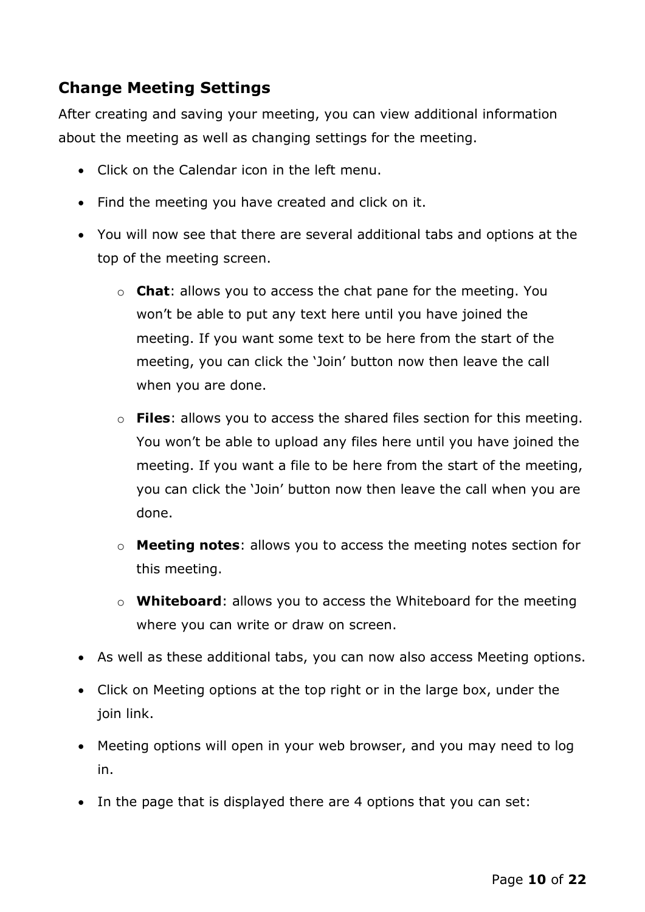### <span id="page-9-0"></span>**Change Meeting Settings**

After creating and saving your meeting, you can view additional information about the meeting as well as changing settings for the meeting.

- Click on the Calendar icon in the left menu.
- Find the meeting you have created and click on it.
- You will now see that there are several additional tabs and options at the top of the meeting screen.
	- o **Chat**: allows you to access the chat pane for the meeting. You won't be able to put any text here until you have joined the meeting. If you want some text to be here from the start of the meeting, you can click the 'Join' button now then leave the call when you are done.
	- o **Files**: allows you to access the shared files section for this meeting. You won't be able to upload any files here until you have joined the meeting. If you want a file to be here from the start of the meeting, you can click the 'Join' button now then leave the call when you are done.
	- o **Meeting notes**: allows you to access the meeting notes section for this meeting.
	- o **Whiteboard**: allows you to access the Whiteboard for the meeting where you can write or draw on screen.
- As well as these additional tabs, you can now also access Meeting options.
- Click on Meeting options at the top right or in the large box, under the join link.
- Meeting options will open in your web browser, and you may need to log in.
- In the page that is displayed there are 4 options that you can set: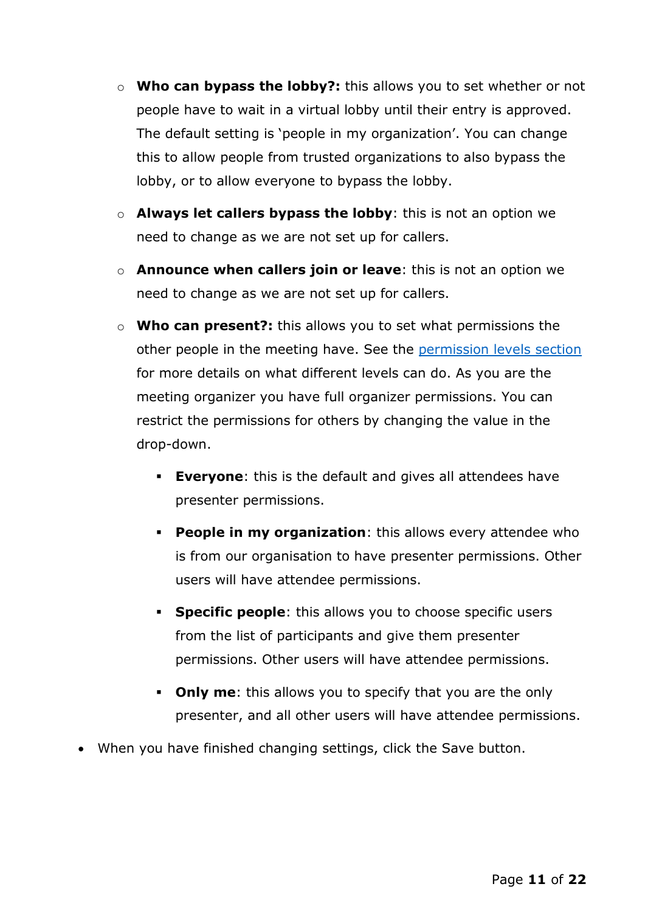- o **Who can bypass the lobby?:** this allows you to set whether or not people have to wait in a virtual lobby until their entry is approved. The default setting is 'people in my organization'. You can change this to allow people from trusted organizations to also bypass the lobby, or to allow everyone to bypass the lobby.
- o **Always let callers bypass the lobby**: this is not an option we need to change as we are not set up for callers.
- o **Announce when callers join or leave**: this is not an option we need to change as we are not set up for callers.
- o **Who can present?:** this allows you to set what permissions the other people in the meeting have. See the [permission levels section](#page-10-0) for more details on what different levels can do. As you are the meeting organizer you have full organizer permissions. You can restrict the permissions for others by changing the value in the drop-down.
	- **Everyone**: this is the default and gives all attendees have presenter permissions.
	- **People in my organization**: this allows every attendee who is from our organisation to have presenter permissions. Other users will have attendee permissions.
	- **Specific people:** this allows you to choose specific users from the list of participants and give them presenter permissions. Other users will have attendee permissions.
	- **Only me**: this allows you to specify that you are the only presenter, and all other users will have attendee permissions.
- <span id="page-10-0"></span>• When you have finished changing settings, click the Save button.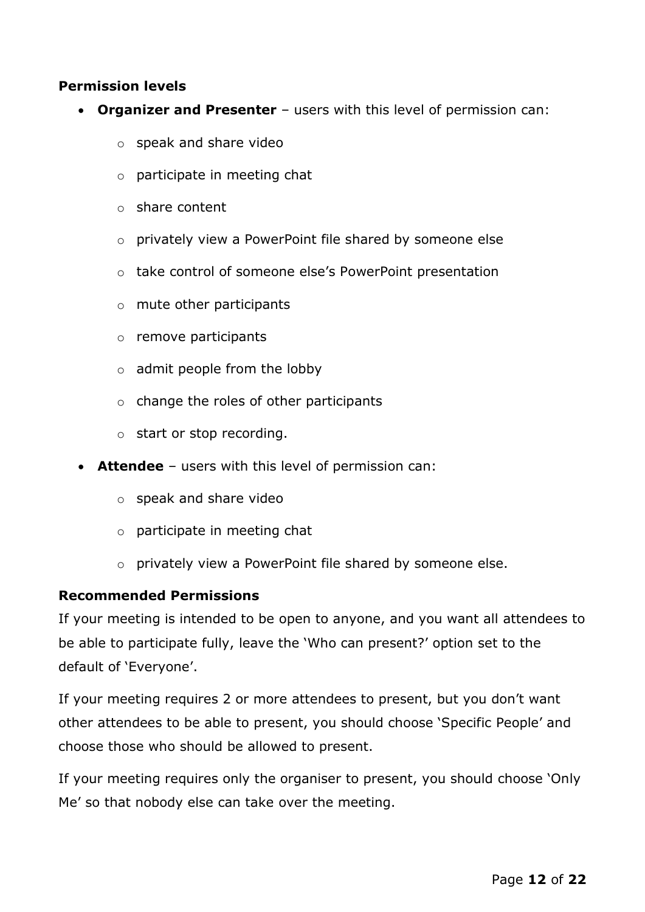#### <span id="page-11-0"></span>**Permission levels**

- **Organizer and Presenter** users with this level of permission can:
	- o speak and share video
	- o participate in meeting chat
	- o share content
	- o privately view a PowerPoint file shared by someone else
	- o take control of someone else's PowerPoint presentation
	- o mute other participants
	- o remove participants
	- $\circ$  admit people from the lobby
	- $\circ$  change the roles of other participants
	- o start or stop recording.
- **Attendee** users with this level of permission can:
	- o speak and share video
	- o participate in meeting chat
	- o privately view a PowerPoint file shared by someone else.

#### <span id="page-11-1"></span>**Recommended Permissions**

If your meeting is intended to be open to anyone, and you want all attendees to be able to participate fully, leave the 'Who can present?' option set to the default of 'Everyone'.

If your meeting requires 2 or more attendees to present, but you don't want other attendees to be able to present, you should choose 'Specific People' and choose those who should be allowed to present.

If your meeting requires only the organiser to present, you should choose 'Only Me' so that nobody else can take over the meeting.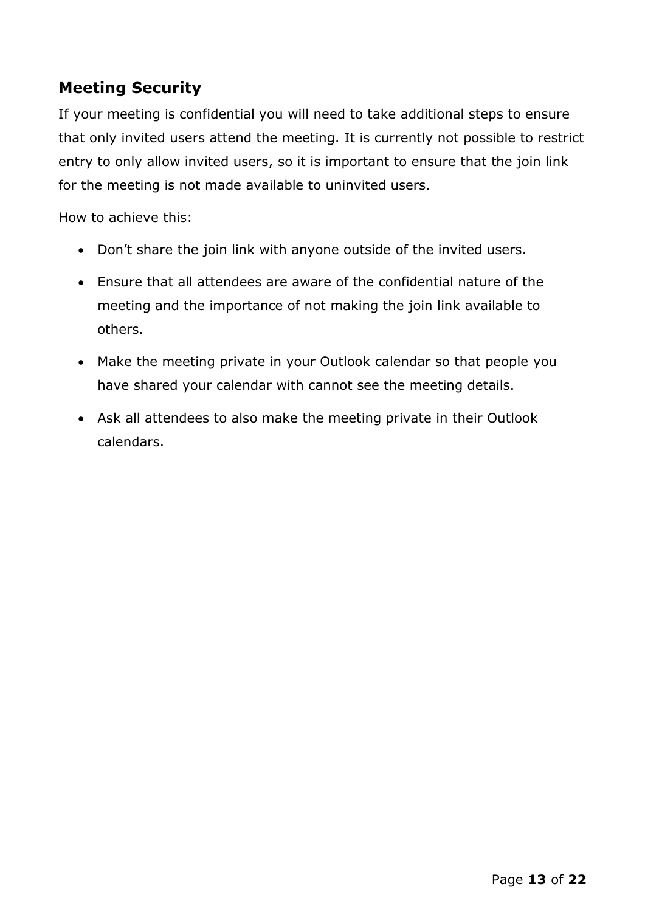## <span id="page-12-0"></span>**Meeting Security**

If your meeting is confidential you will need to take additional steps to ensure that only invited users attend the meeting. It is currently not possible to restrict entry to only allow invited users, so it is important to ensure that the join link for the meeting is not made available to uninvited users.

How to achieve this:

- Don't share the join link with anyone outside of the invited users.
- Ensure that all attendees are aware of the confidential nature of the meeting and the importance of not making the join link available to others.
- Make the meeting private in your Outlook calendar so that people you have shared your calendar with cannot see the meeting details.
- Ask all attendees to also make the meeting private in their Outlook calendars.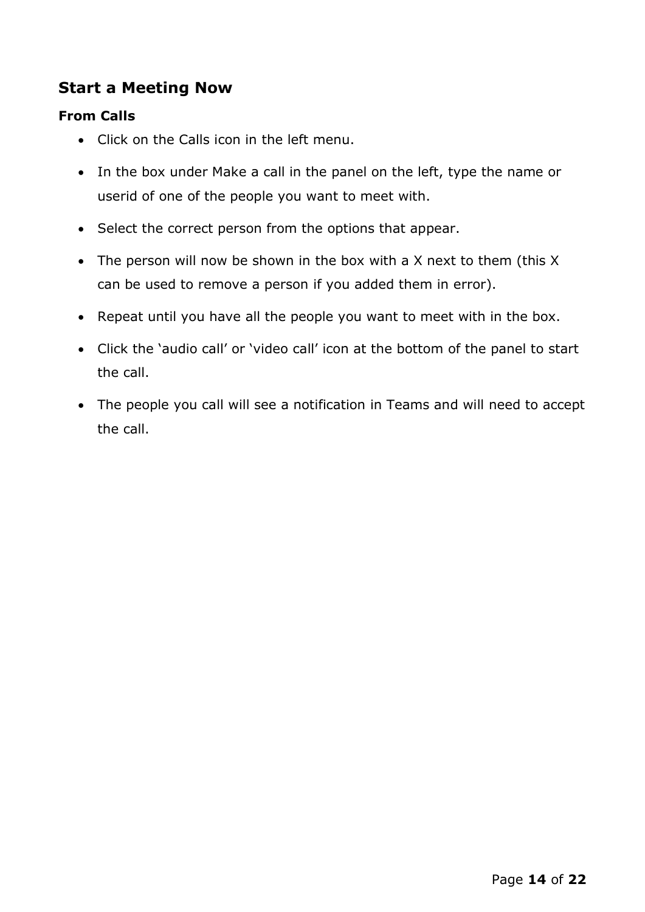### <span id="page-13-0"></span>**Start a Meeting Now**

#### <span id="page-13-1"></span>**From Calls**

- Click on the Calls icon in the left menu.
- In the box under Make a call in the panel on the left, type the name or userid of one of the people you want to meet with.
- Select the correct person from the options that appear.
- The person will now be shown in the box with a X next to them (this X can be used to remove a person if you added them in error).
- Repeat until you have all the people you want to meet with in the box.
- Click the 'audio call' or 'video call' icon at the bottom of the panel to start the call.
- The people you call will see a notification in Teams and will need to accept the call.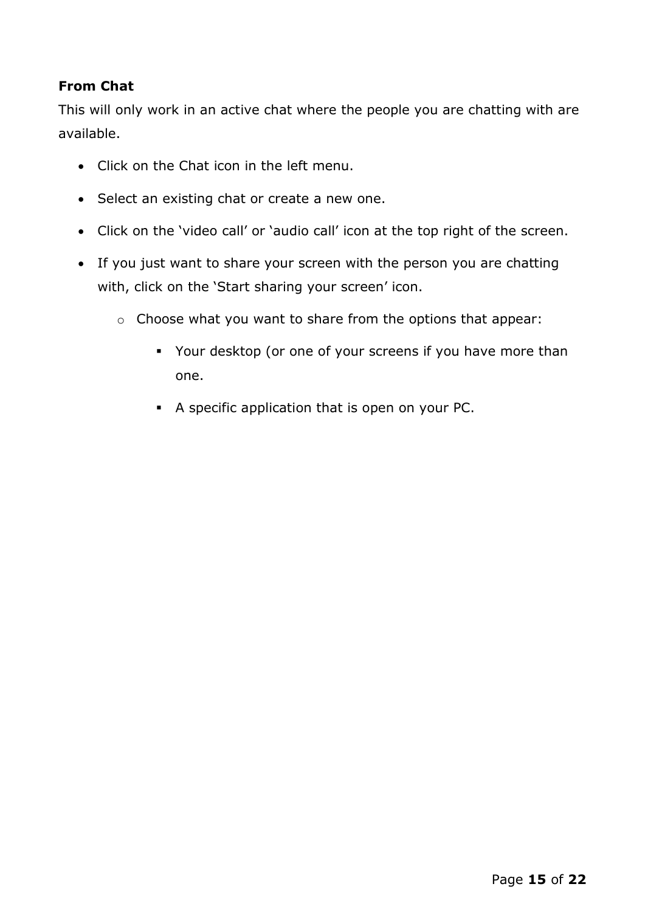#### <span id="page-14-0"></span>**From Chat**

This will only work in an active chat where the people you are chatting with are available.

- Click on the Chat icon in the left menu.
- Select an existing chat or create a new one.
- Click on the 'video call' or 'audio call' icon at the top right of the screen.
- If you just want to share your screen with the person you are chatting with, click on the 'Start sharing your screen' icon.
	- o Choose what you want to share from the options that appear:
		- Your desktop (or one of your screens if you have more than one.
		- A specific application that is open on your PC.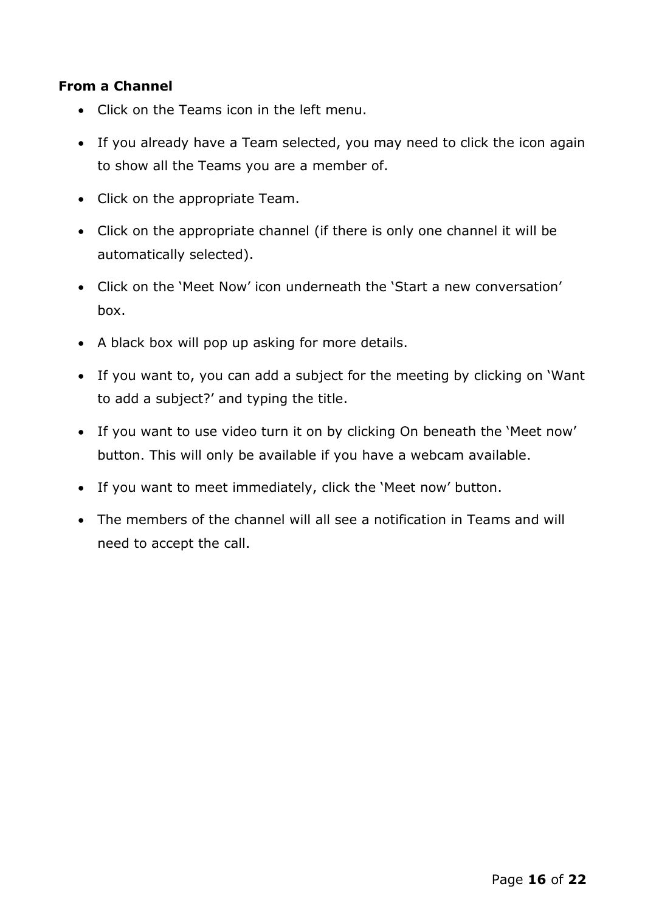#### <span id="page-15-0"></span>**From a Channel**

- Click on the Teams icon in the left menu.
- If you already have a Team selected, you may need to click the icon again to show all the Teams you are a member of.
- Click on the appropriate Team.
- Click on the appropriate channel (if there is only one channel it will be automatically selected).
- Click on the 'Meet Now' icon underneath the 'Start a new conversation' box.
- A black box will pop up asking for more details.
- If you want to, you can add a subject for the meeting by clicking on 'Want to add a subject?' and typing the title.
- If you want to use video turn it on by clicking On beneath the 'Meet now' button. This will only be available if you have a webcam available.
- If you want to meet immediately, click the 'Meet now' button.
- The members of the channel will all see a notification in Teams and will need to accept the call.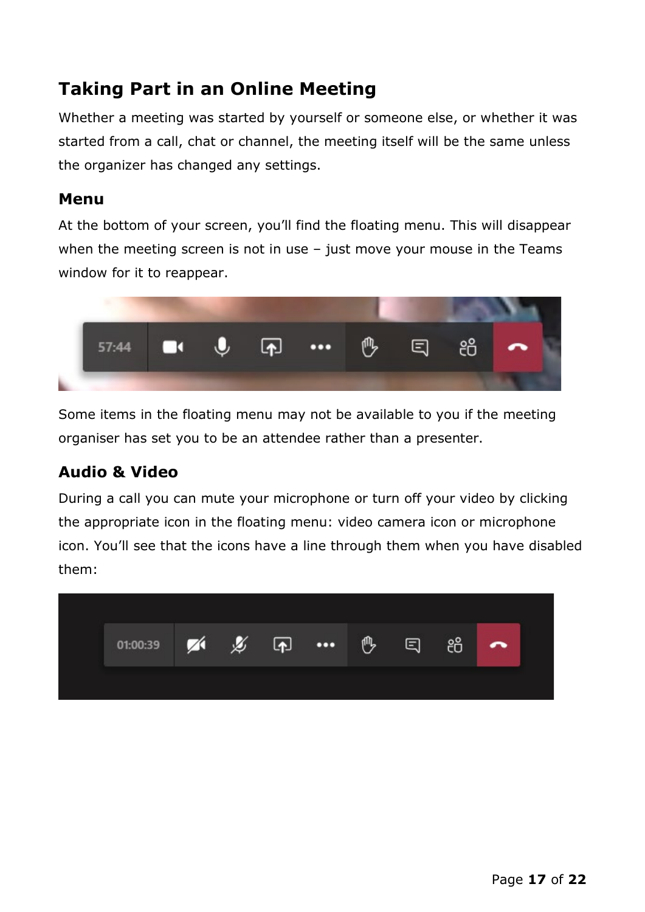# <span id="page-16-0"></span>**Taking Part in an Online Meeting**

Whether a meeting was started by yourself or someone else, or whether it was started from a call, chat or channel, the meeting itself will be the same unless the organizer has changed any settings.

#### <span id="page-16-1"></span>**Menu**

At the bottom of your screen, you'll find the floating menu. This will disappear when the meeting screen is not in use – just move your mouse in the Teams window for it to reappear.



Some items in the floating menu may not be available to you if the meeting organiser has set you to be an attendee rather than a presenter.

### <span id="page-16-2"></span>**Audio & Video**

During a call you can mute your microphone or turn off your video by clicking the appropriate icon in the floating menu: video camera icon or microphone icon. You'll see that the icons have a line through them when you have disabled them:

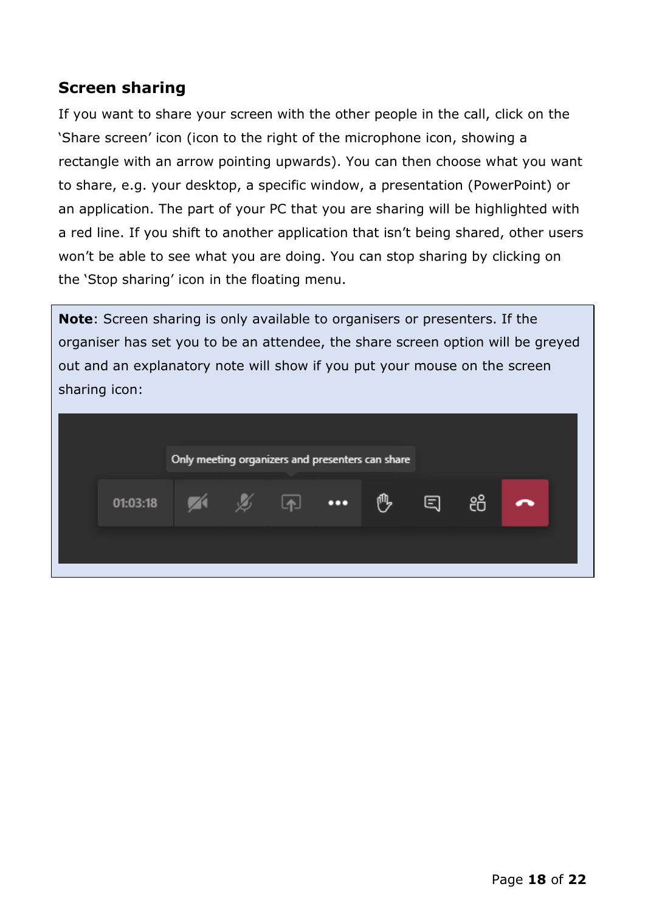#### <span id="page-17-0"></span>**Screen sharing**

If you want to share your screen with the other people in the call, click on the 'Share screen' icon (icon to the right of the microphone icon, showing a rectangle with an arrow pointing upwards). You can then choose what you want to share, e.g. your desktop, a specific window, a presentation (PowerPoint) or an application. The part of your PC that you are sharing will be highlighted with a red line. If you shift to another application that isn't being shared, other users won't be able to see what you are doing. You can stop sharing by clicking on the 'Stop sharing' icon in the floating menu.

**Note**: Screen sharing is only available to organisers or presenters. If the organiser has set you to be an attendee, the share screen option will be greyed out and an explanatory note will show if you put your mouse on the screen sharing icon:

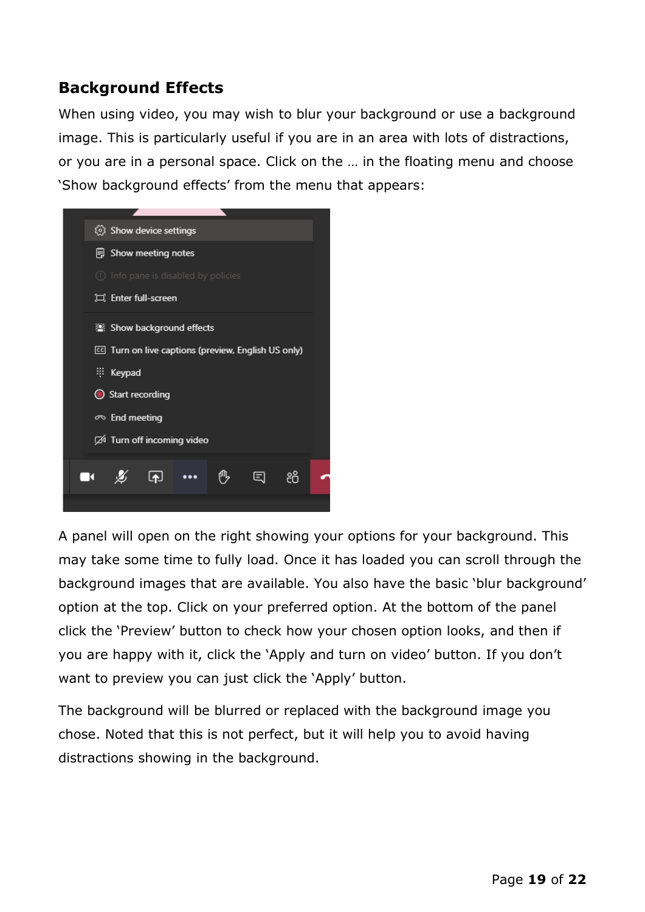## <span id="page-18-0"></span>**Background Effects**

When using video, you may wish to blur your background or use a background image. This is particularly useful if you are in an area with lots of distractions, or you are in a personal space. Click on the … in the floating menu and choose 'Show background effects' from the menu that appears:



A panel will open on the right showing your options for your background. This may take some time to fully load. Once it has loaded you can scroll through the background images that are available. You also have the basic 'blur background' option at the top. Click on your preferred option. At the bottom of the panel click the 'Preview' button to check how your chosen option looks, and then if you are happy with it, click the 'Apply and turn on video' button. If you don't want to preview you can just click the 'Apply' button.

The background will be blurred or replaced with the background image you chose. Noted that this is not perfect, but it will help you to avoid having distractions showing in the background.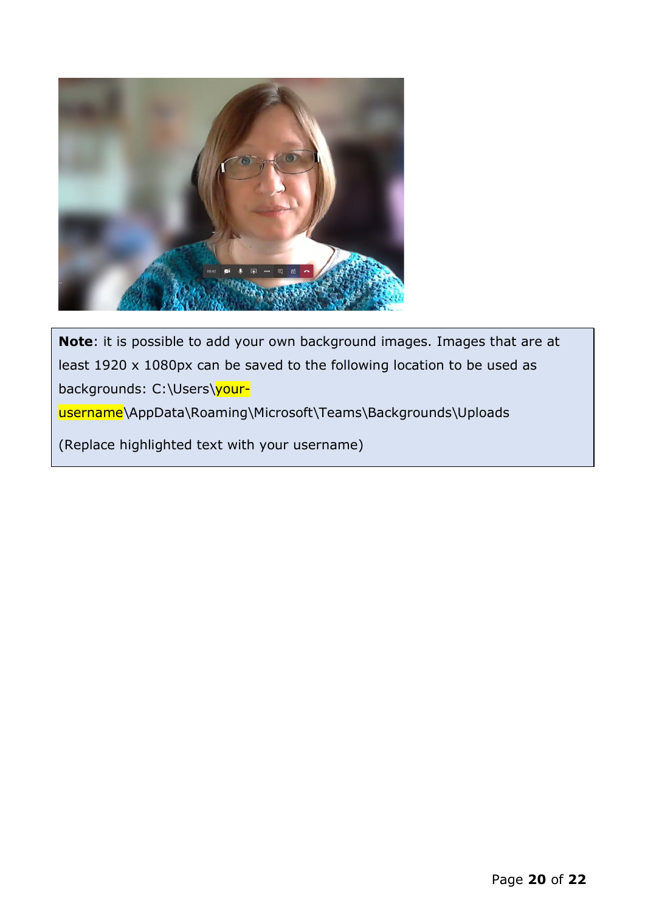

**Note**: it is possible to add your own background images. Images that are at least 1920 x 1080px can be saved to the following location to be used as backgrounds: C:\Users\yourusername\AppData\Roaming\Microsoft\Teams\Backgrounds\Uploads

(Replace highlighted text with your username)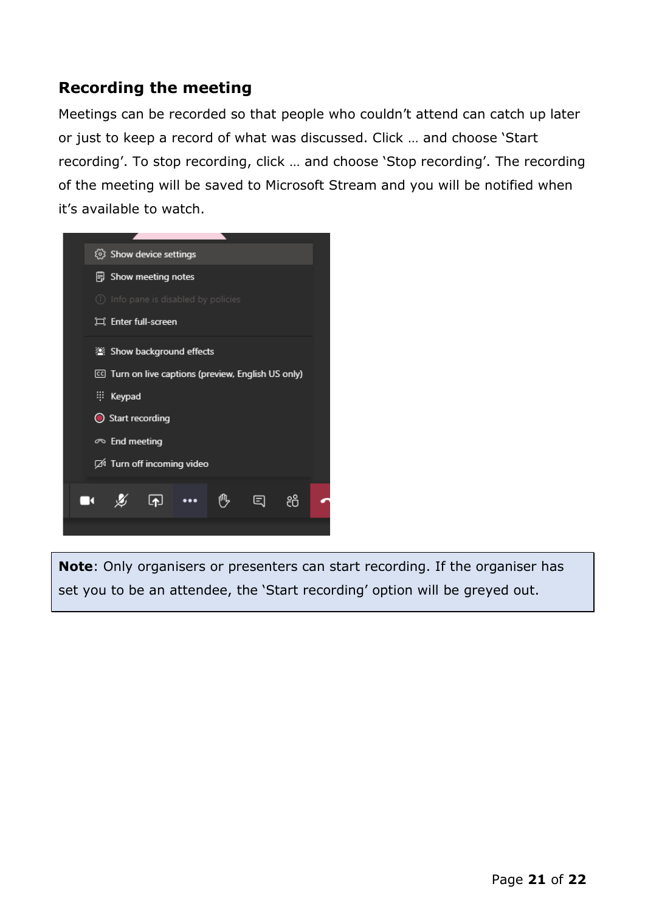## <span id="page-20-0"></span>**Recording the meeting**

Meetings can be recorded so that people who couldn't attend can catch up later or just to keep a record of what was discussed. Click … and choose 'Start recording'. To stop recording, click … and choose 'Stop recording'. The recording of the meeting will be saved to Microsoft Stream and you will be notified when it's available to watch.



**Note**: Only organisers or presenters can start recording. If the organiser has set you to be an attendee, the 'Start recording' option will be greyed out.